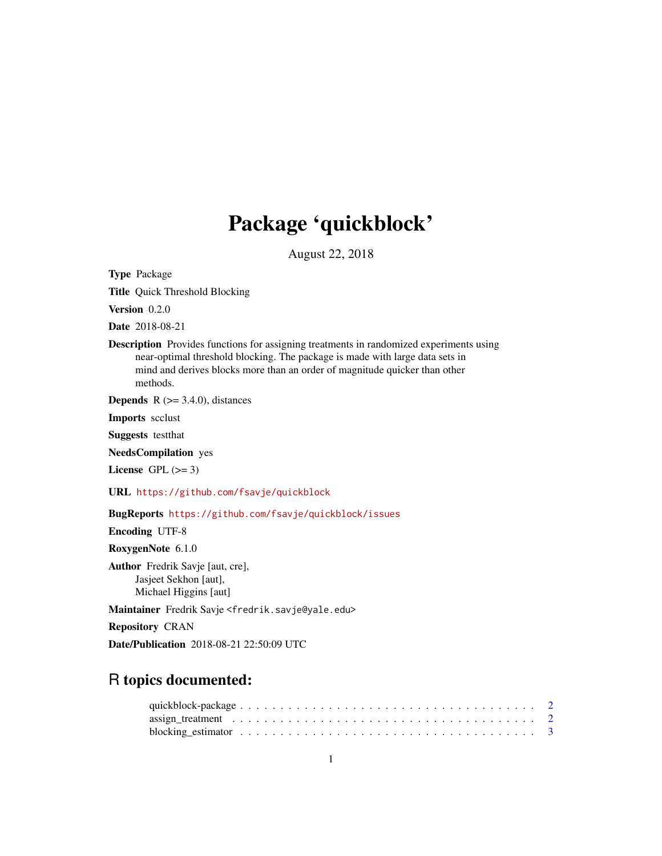# Package 'quickblock'

August 22, 2018

<span id="page-0-0"></span>Type Package

Title Quick Threshold Blocking

Version 0.2.0

Date 2018-08-21

Description Provides functions for assigning treatments in randomized experiments using near-optimal threshold blocking. The package is made with large data sets in mind and derives blocks more than an order of magnitude quicker than other methods.

**Depends** R  $(>= 3.4.0)$ , distances

Imports scclust

Suggests testthat

NeedsCompilation yes

License GPL  $(>= 3)$ 

URL <https://github.com/fsavje/quickblock>

BugReports <https://github.com/fsavje/quickblock/issues>

Encoding UTF-8

RoxygenNote 6.1.0

Author Fredrik Savje [aut, cre], Jasjeet Sekhon [aut], Michael Higgins [aut]

Maintainer Fredrik Savje <fredrik.savje@yale.edu>

Repository CRAN

Date/Publication 2018-08-21 22:50:09 UTC

# R topics documented: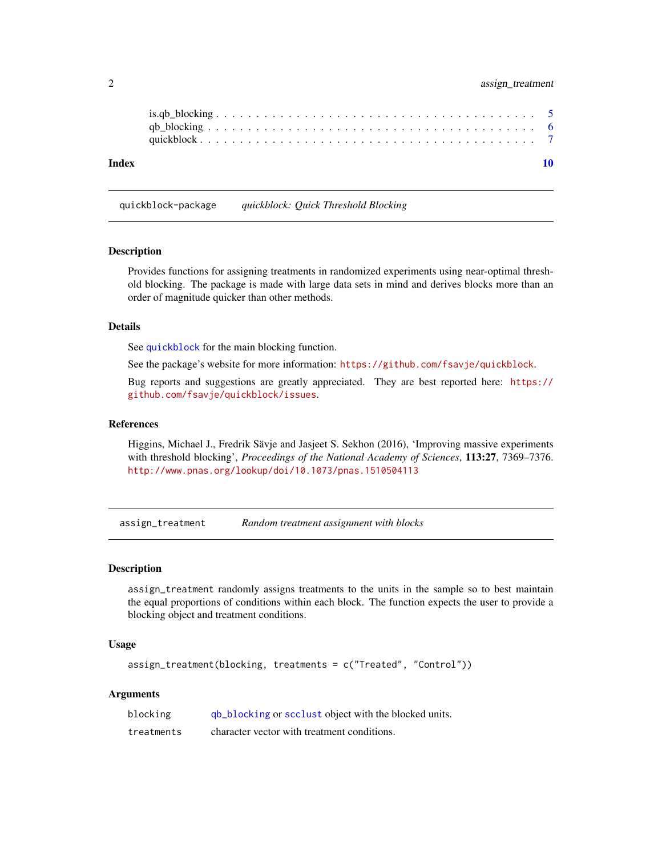# <span id="page-1-0"></span>2 assign\_treatment

| Index |  |  |  |  |  |  |  |  |  |  |  |  |  |  |  |  |  |  |  |
|-------|--|--|--|--|--|--|--|--|--|--|--|--|--|--|--|--|--|--|--|
|       |  |  |  |  |  |  |  |  |  |  |  |  |  |  |  |  |  |  |  |

quickblock-package *quickblock: Quick Threshold Blocking*

# **Description**

Provides functions for assigning treatments in randomized experiments using near-optimal threshold blocking. The package is made with large data sets in mind and derives blocks more than an order of magnitude quicker than other methods.

# Details

See [quickblock](#page-6-1) for the main blocking function.

See the package's website for more information: <https://github.com/fsavje/quickblock>.

Bug reports and suggestions are greatly appreciated. They are best reported here: [https://](https://github.com/fsavje/quickblock/issues) [github.com/fsavje/quickblock/issues](https://github.com/fsavje/quickblock/issues).

# References

Higgins, Michael J., Fredrik Sävje and Jasjeet S. Sekhon (2016), 'Improving massive experiments with threshold blocking', *Proceedings of the National Academy of Sciences*, 113:27, 7369–7376. <http://www.pnas.org/lookup/doi/10.1073/pnas.1510504113>

<span id="page-1-1"></span>assign\_treatment *Random treatment assignment with blocks*

# Description

assign\_treatment randomly assigns treatments to the units in the sample so to best maintain the equal proportions of conditions within each block. The function expects the user to provide a blocking object and treatment conditions.

# Usage

```
assign_treatment(blocking, treatments = c("Treated", "Control"))
```
# Arguments

| blocking   | qb_blocking or scclust object with the blocked units. |
|------------|-------------------------------------------------------|
| treatments | character vector with treatment conditions.           |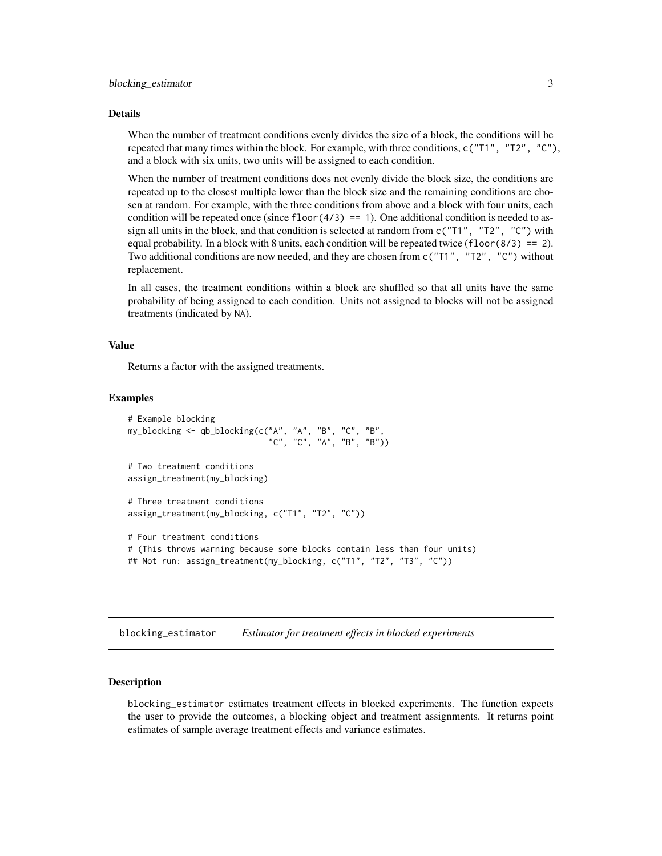#### <span id="page-2-0"></span>Details

When the number of treatment conditions evenly divides the size of a block, the conditions will be repeated that many times within the block. For example, with three conditions,  $c("T1", "T2", "C"),$ and a block with six units, two units will be assigned to each condition.

When the number of treatment conditions does not evenly divide the block size, the conditions are repeated up to the closest multiple lower than the block size and the remaining conditions are chosen at random. For example, with the three conditions from above and a block with four units, each condition will be repeated once (since  $floor(4/3) == 1$ ). One additional condition is needed to assign all units in the block, and that condition is selected at random from  $c("T1", "T2", "C")$  with equal probability. In a block with 8 units, each condition will be repeated twice (floor(8/3) == 2). Two additional conditions are now needed, and they are chosen from  $c("T1", "T2", "C")$  without replacement.

In all cases, the treatment conditions within a block are shuffled so that all units have the same probability of being assigned to each condition. Units not assigned to blocks will not be assigned treatments (indicated by NA).

# Value

Returns a factor with the assigned treatments.

# Examples

```
# Example blocking
my_blocking <- qb_blocking(c("A", "A", "B", "C", "B",
                             "C", "C", "A", "B", "B"))
# Two treatment conditions
assign_treatment(my_blocking)
# Three treatment conditions
assign_treatment(my_blocking, c("T1", "T2", "C"))
# Four treatment conditions
# (This throws warning because some blocks contain less than four units)
## Not run: assign_treatment(my_blocking, c("T1", "T2", "T3", "C"))
```
blocking\_estimator *Estimator for treatment effects in blocked experiments*

# Description

blocking\_estimator estimates treatment effects in blocked experiments. The function expects the user to provide the outcomes, a blocking object and treatment assignments. It returns point estimates of sample average treatment effects and variance estimates.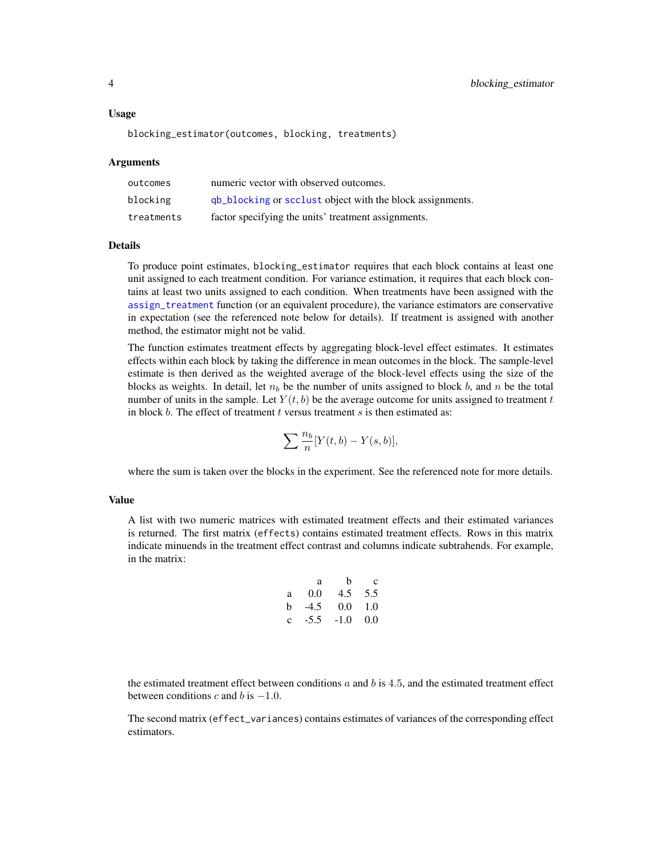#### <span id="page-3-0"></span>Usage

blocking\_estimator(outcomes, blocking, treatments)

# Arguments

| outcomes   | numeric vector with observed outcomes.                    |
|------------|-----------------------------------------------------------|
| blocking   | qb_blocking or scclust object with the block assignments. |
| treatments | factor specifying the units' treatment assignments.       |

# Details

To produce point estimates, blocking\_estimator requires that each block contains at least one unit assigned to each treatment condition. For variance estimation, it requires that each block contains at least two units assigned to each condition. When treatments have been assigned with the [assign\\_treatment](#page-1-1) function (or an equivalent procedure), the variance estimators are conservative in expectation (see the referenced note below for details). If treatment is assigned with another method, the estimator might not be valid.

The function estimates treatment effects by aggregating block-level effect estimates. It estimates effects within each block by taking the difference in mean outcomes in the block. The sample-level estimate is then derived as the weighted average of the block-level effects using the size of the blocks as weights. In detail, let  $n_b$  be the number of units assigned to block b, and n be the total number of units in the sample. Let  $Y(t, b)$  be the average outcome for units assigned to treatment t in block b. The effect of treatment t versus treatment s is then estimated as:

$$
\sum \frac{n_b}{n} [Y(t,b) - Y(s,b)],
$$

where the sum is taken over the blocks in the experiment. See the referenced note for more details.

# Value

A list with two numeric matrices with estimated treatment effects and their estimated variances is returned. The first matrix (effects) contains estimated treatment effects. Rows in this matrix indicate minuends in the treatment effect contrast and columns indicate subtrahends. For example, in the matrix:

a b c a 0.0 4.5 5.5 b -4.5 0.0 1.0 c -5.5 -1.0 0.0

the estimated treatment effect between conditions  $a$  and  $b$  is 4.5, and the estimated treatment effect between conditions c and b is  $-1.0$ .

The second matrix (effect\_variances) contains estimates of variances of the corresponding effect estimators.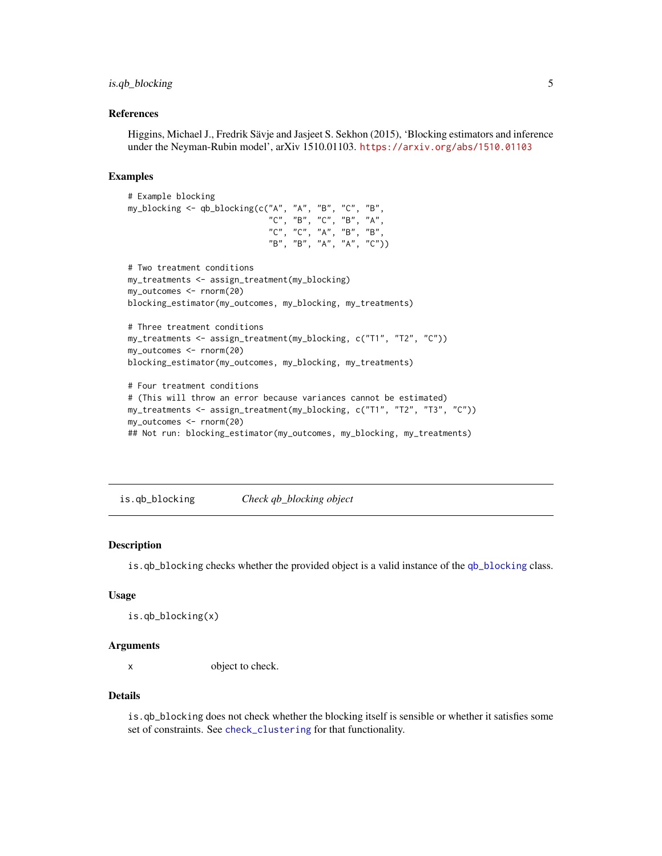# <span id="page-4-0"></span>is.qb\_blocking 5

# References

Higgins, Michael J., Fredrik Sävje and Jasjeet S. Sekhon (2015), 'Blocking estimators and inference under the Neyman-Rubin model', arXiv 1510.01103. <https://arxiv.org/abs/1510.01103>

# Examples

```
# Example blocking
my_blocking <- qb_blocking(c("A", "A", "B", "C", "B",
                             "C", "B", "C", "B", "A",
                             "C", "C", "A", "B", "B",
                             "B", "B", "A", "A", "C"))
# Two treatment conditions
my_treatments <- assign_treatment(my_blocking)
my_outcomes <- rnorm(20)
blocking_estimator(my_outcomes, my_blocking, my_treatments)
# Three treatment conditions
my_treatments <- assign_treatment(my_blocking, c("T1", "T2", "C"))
my_outcomes <- rnorm(20)
blocking_estimator(my_outcomes, my_blocking, my_treatments)
# Four treatment conditions
# (This will throw an error because variances cannot be estimated)
my_treatments <- assign_treatment(my_blocking, c("T1", "T2", "T3", "C"))
my_outcomes <- rnorm(20)
## Not run: blocking_estimator(my_outcomes, my_blocking, my_treatments)
```
is.qb\_blocking *Check qb\_blocking object*

#### Description

is.qb\_blocking checks whether the provided object is a valid instance of the [qb\\_blocking](#page-5-1) class.

# Usage

is.qb\_blocking(x)

# Arguments

x object to check.

# Details

is.qb\_blocking does not check whether the blocking itself is sensible or whether it satisfies some set of constraints. See [check\\_clustering](#page-0-0) for that functionality.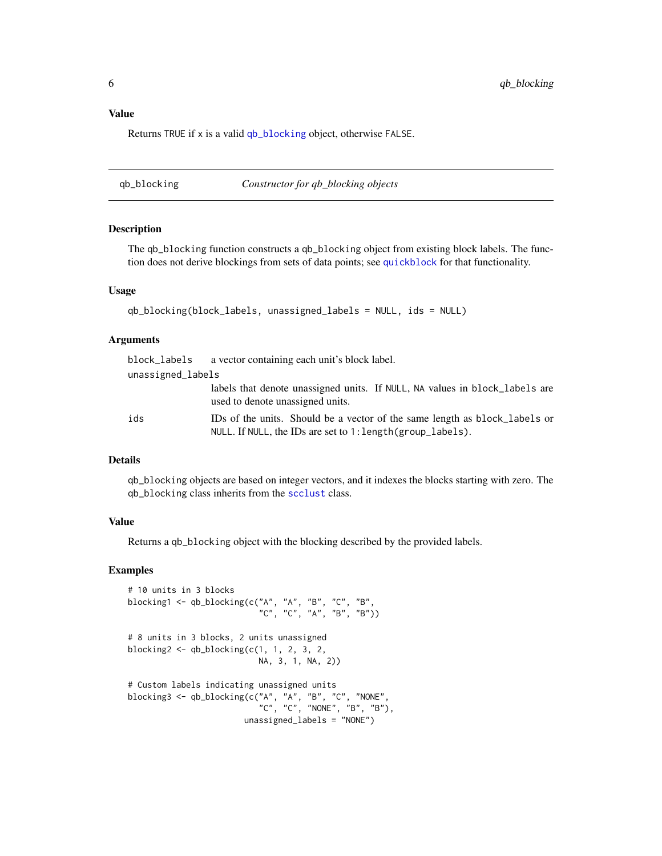# <span id="page-5-0"></span>Value

Returns TRUE if x is a valid [qb\\_blocking](#page-5-1) object, otherwise FALSE.

<span id="page-5-1"></span>qb\_blocking *Constructor for qb\_blocking objects*

# Description

The qb\_blocking function constructs a qb\_blocking object from existing block labels. The function does not derive blockings from sets of data points; see [quickblock](#page-6-1) for that functionality.

# Usage

```
qb_blocking(block_labels, unassigned_labels = NULL, ids = NULL)
```
# Arguments

|                   | block_labels a vector containing each unit's block label.                                                                                        |
|-------------------|--------------------------------------------------------------------------------------------------------------------------------------------------|
| unassigned_labels |                                                                                                                                                  |
|                   | labels that denote unassigned units. If NULL, NA values in block_labels are<br>used to denote unassigned units.                                  |
| ids               | IDs of the units. Should be a vector of the same length as block_labels or<br>NULL. If NULL, the IDs are set to $1$ : length $(group\_labels)$ . |

# Details

qb\_blocking objects are based on integer vectors, and it indexes the blocks starting with zero. The qb\_blocking class inherits from the [scclust](#page-0-0) class.

### Value

Returns a qb\_blocking object with the blocking described by the provided labels.

# Examples

```
# 10 units in 3 blocks
blocking1 <- qb_blocking(c("A", "A", "B", "C", "B",
                           "C", "C", "A", "B", "B"))
# 8 units in 3 blocks, 2 units unassigned
blocking2 < - qb_blocking(c(1, 1, 2, 3, 2,NA, 3, 1, NA, 2))
# Custom labels indicating unassigned units
blocking3 <- qb_blocking(c("A", "A", "B", "C", "NONE",
                           "C", "C", "NONE", "B", "B"),
                        unassigned_labels = "NONE")
```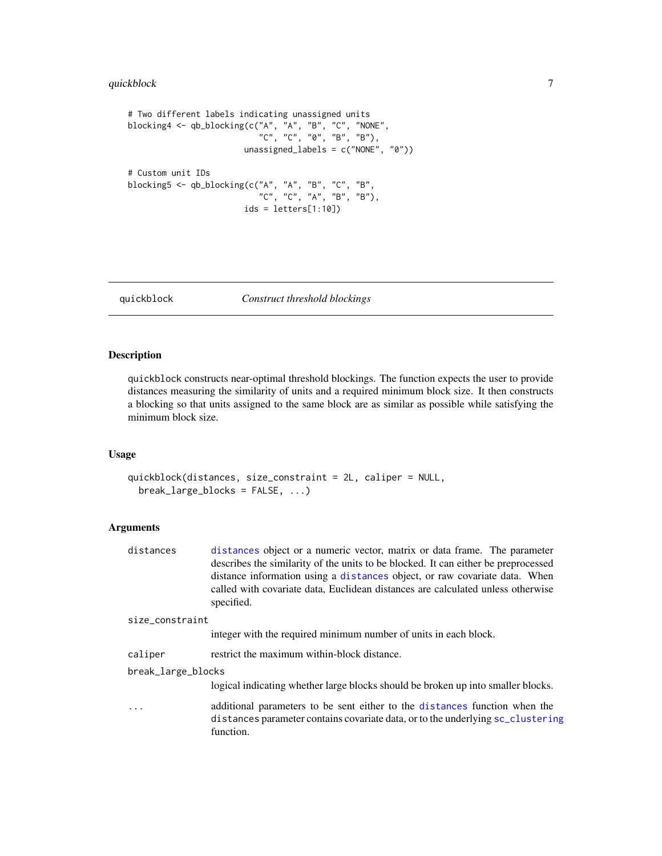# <span id="page-6-0"></span>quickblock 7

```
# Two different labels indicating unassigned units
blocking4 <- qb_blocking(c("A", "A", "B", "C", "NONE",
                           "C", "C", "0", "B", "B"),
                        unassigned_labels = c("NONE", "0"))
# Custom unit IDs
blocking5 <- qb_blocking(c("A", "A", "B", "C", "B",
                           "C", "C", "A", "B", "B"),
                        ids = letters[1:10])
```
<span id="page-6-1"></span>

#### quickblock *Construct threshold blockings*

# Description

quickblock constructs near-optimal threshold blockings. The function expects the user to provide distances measuring the similarity of units and a required minimum block size. It then constructs a blocking so that units assigned to the same block are as similar as possible while satisfying the minimum block size.

# Usage

```
quickblock(distances, size_constraint = 2L, caliper = NULL,
 break_large_blocks = FALSE, ...)
```
# Arguments

| distances | distances object or a numeric vector, matrix or data frame. The parameter          |
|-----------|------------------------------------------------------------------------------------|
|           | describes the similarity of the units to be blocked. It can either be preprocessed |
|           | distance information using a distances object, or raw covariate data. When         |
|           | called with covariate data, Euclidean distances are calculated unless otherwise    |
|           | specified.                                                                         |

#### size\_constraint

integer with the required minimum number of units in each block.

caliper restrict the maximum within-block distance.

# break\_large\_blocks

logical indicating whether large blocks should be broken up into smaller blocks.

... additional parameters to be sent either to the [distances](#page-0-0) function when the distances parameter contains covariate data, or to the underlying [sc\\_clustering](#page-0-0) function.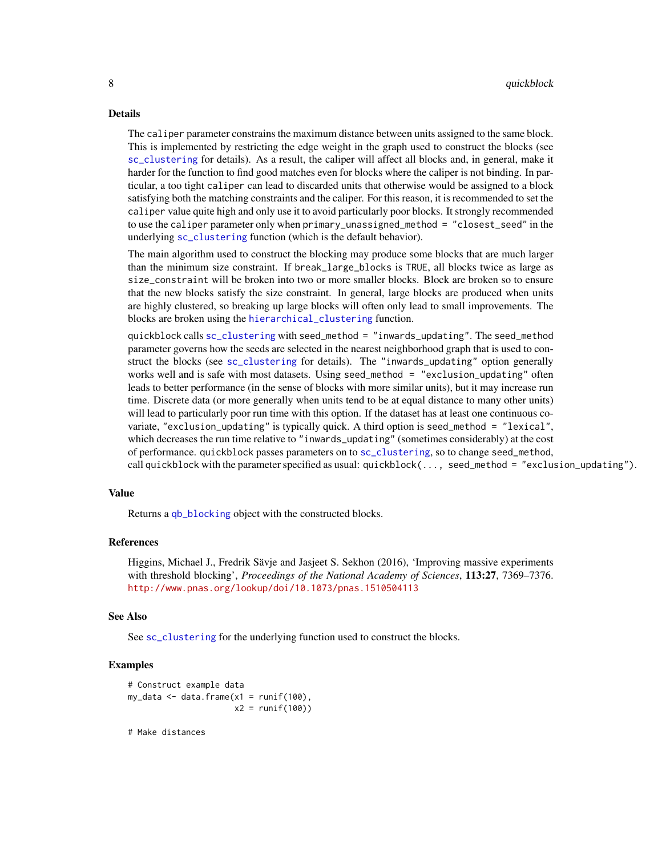# <span id="page-7-0"></span>Details

The caliper parameter constrains the maximum distance between units assigned to the same block. This is implemented by restricting the edge weight in the graph used to construct the blocks (see [sc\\_clustering](#page-0-0) for details). As a result, the caliper will affect all blocks and, in general, make it harder for the function to find good matches even for blocks where the caliper is not binding. In particular, a too tight caliper can lead to discarded units that otherwise would be assigned to a block satisfying both the matching constraints and the caliper. For this reason, it is recommended to set the caliper value quite high and only use it to avoid particularly poor blocks. It strongly recommended to use the caliper parameter only when primary\_unassigned\_method = "closest\_seed" in the underlying [sc\\_clustering](#page-0-0) function (which is the default behavior).

The main algorithm used to construct the blocking may produce some blocks that are much larger than the minimum size constraint. If break\_large\_blocks is TRUE, all blocks twice as large as size\_constraint will be broken into two or more smaller blocks. Block are broken so to ensure that the new blocks satisfy the size constraint. In general, large blocks are produced when units are highly clustered, so breaking up large blocks will often only lead to small improvements. The blocks are broken using the [hierarchical\\_clustering](#page-0-0) function.

quickblock calls [sc\\_clustering](#page-0-0) with seed\_method = "inwards\_updating". The seed\_method parameter governs how the seeds are selected in the nearest neighborhood graph that is used to construct the blocks (see [sc\\_clustering](#page-0-0) for details). The "inwards\_updating" option generally works well and is safe with most datasets. Using seed\_method = "exclusion\_updating" often leads to better performance (in the sense of blocks with more similar units), but it may increase run time. Discrete data (or more generally when units tend to be at equal distance to many other units) will lead to particularly poor run time with this option. If the dataset has at least one continuous covariate, "exclusion\_updating" is typically quick. A third option is seed\_method = "lexical", which decreases the run time relative to "inwards\_updating" (sometimes considerably) at the cost of performance. quickblock passes parameters on to [sc\\_clustering](#page-0-0), so to change seed\_method, call quickblock with the parameter specified as usual: quickblock(..., seed\_method = "exclusion\_updating").

#### Value

Returns a [qb\\_blocking](#page-5-1) object with the constructed blocks.

# References

Higgins, Michael J., Fredrik Sävje and Jasjeet S. Sekhon (2016), 'Improving massive experiments with threshold blocking', *Proceedings of the National Academy of Sciences*, 113:27, 7369–7376. <http://www.pnas.org/lookup/doi/10.1073/pnas.1510504113>

# See Also

See [sc\\_clustering](#page-0-0) for the underlying function used to construct the blocks.

# **Examples**

```
# Construct example data
my_data <- data.frame(x1 = runif(100)),
                     x2 = runif(100)
```
# Make distances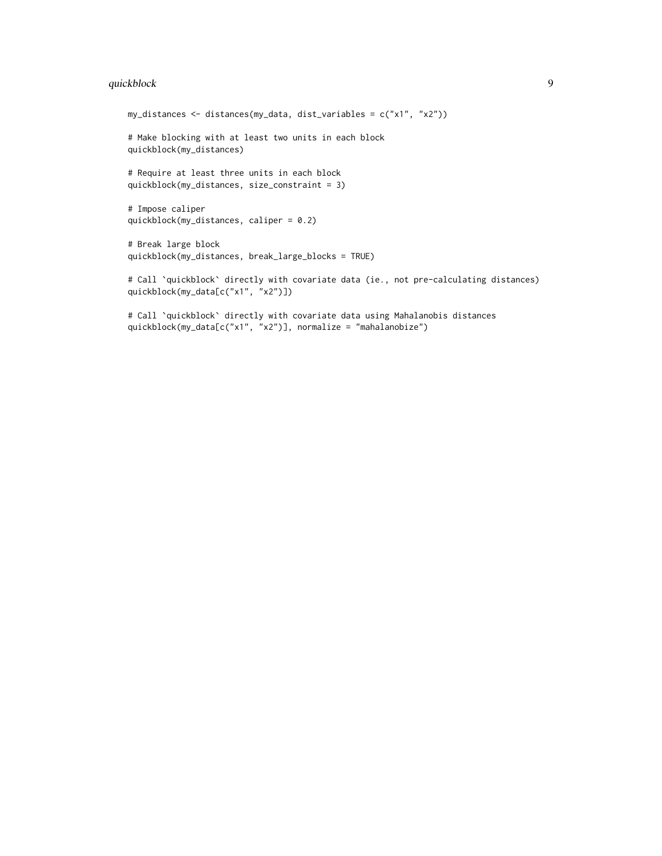# quickblock 9

```
my_distances <- distances(my_data, dist_variables = c("x1", "x2"))
# Make blocking with at least two units in each block
quickblock(my_distances)
# Require at least three units in each block
quickblock(my_distances, size_constraint = 3)
# Impose caliper
quickblock(my_distances, caliper = 0.2)
# Break large block
quickblock(my_distances, break_large_blocks = TRUE)
```
# Call `quickblock` directly with covariate data (ie., not pre-calculating distances) quickblock(my\_data[c("x1", "x2")])

# Call `quickblock` directly with covariate data using Mahalanobis distances quickblock(my\_data[c("x1", "x2")], normalize = "mahalanobize")